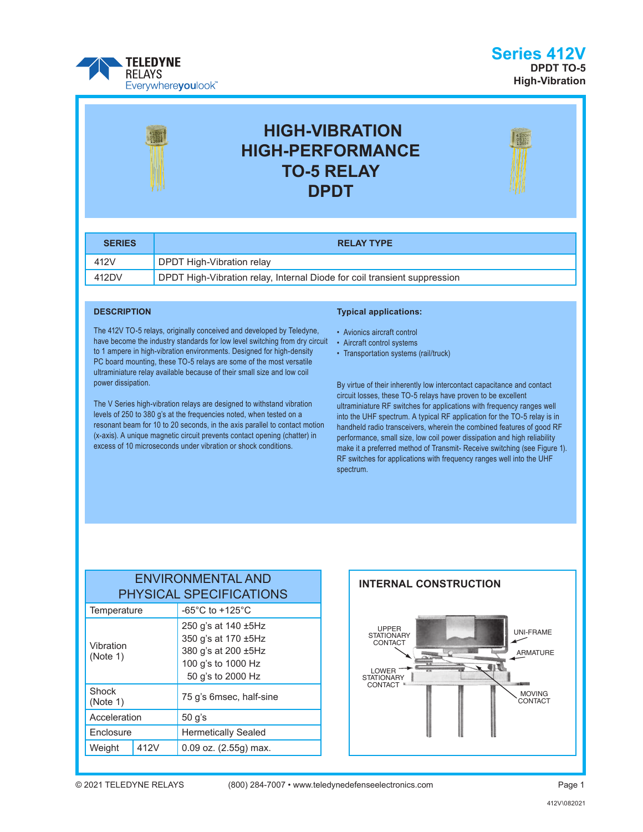

### **Series 412V DPDT TO-5 High-Vibration**



# **HIGH-VIBRATION HIGH-PERFORMANCE TO-5 RELAY DPDT**



| <b>SERIES</b> | <b>RELAY TYPE</b>                                                        |
|---------------|--------------------------------------------------------------------------|
| 412V          | DPDT High-Vibration relay                                                |
| 412DV         | DPDT High-Vibration relay, Internal Diode for coil transient suppression |

#### **DESCRIPTION**

The 412V TO-5 relays, originally conceived and developed by Teledyne, have become the industry standards for low level switching from dry circuit to 1 ampere in high-vibration environments. Designed for high-density PC board mounting, these TO-5 relays are some of the most versatile ultraminiature relay available because of their small size and low coil power dissipation.

The V Series high-vibration relays are designed to withstand vibration levels of 250 to 380 g's at the frequencies noted, when tested on a resonant beam for 10 to 20 seconds, in the axis parallel to contact motion (x-axis). A unique magnetic circuit prevents contact opening (chatter) in excess of 10 microseconds under vibration or shock conditions.

#### **Typical applications:**

- Avionics aircraft control
- Aircraft control systems
- Transportation systems (rail/truck)

By virtue of their inherently low intercontact capacitance and contact circuit losses, these TO-5 relays have proven to be excellent ultraminiature RF switches for applications with frequency ranges well into the UHF spectrum. A typical RF application for the TO-5 relay is in handheld radio transceivers, wherein the combined features of good RF performance, small size, low coil power dissipation and high reliability make it a preferred method of Transmit- Receive switching (see Figure 1). RF switches for applications with frequency ranges well into the UHF spectrum.

### ENVIRONMENTAL AND PHYSICAL SPECIFICATIONS Temperature  $\vert$  -65°C to +125°C Vibration (Note 1) 250 g's at 140 ±5Hz 350 g's at 170 ±5Hz 380 g's at 200 ±5Hz 100 g's to 1000 Hz 50 g's to 2000 Hz Shock<br>(Note 1) 75 g's 6msec, half-sine Acceleration 50 g's Enclosure **Hermetically Sealed** Weight  $412V$  0.09 oz. (2.55g) max.

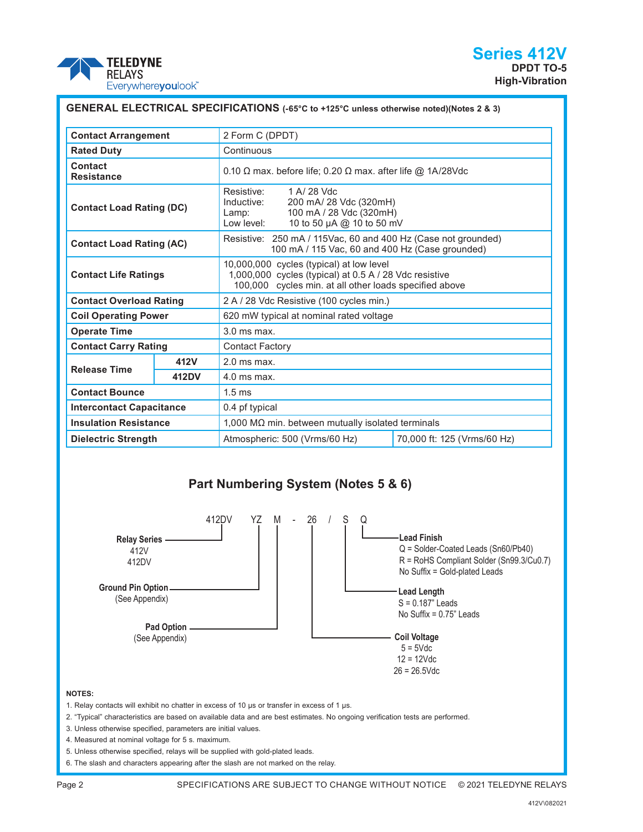

| GENERAL ELECTRICAL SPECIFICATIONS (-65°C to +125°C unless otherwise noted)(Notes 2 & 3) |       |                                                                                                                                                              |  |  |  |
|-----------------------------------------------------------------------------------------|-------|--------------------------------------------------------------------------------------------------------------------------------------------------------------|--|--|--|
| <b>Contact Arrangement</b>                                                              |       | 2 Form C (DPDT)                                                                                                                                              |  |  |  |
| <b>Rated Duty</b>                                                                       |       | Continuous                                                                                                                                                   |  |  |  |
| Contact<br><b>Resistance</b>                                                            |       | 0.10 $\Omega$ max. before life; 0.20 $\Omega$ max. after life @ 1A/28Vdc                                                                                     |  |  |  |
| <b>Contact Load Rating (DC)</b>                                                         |       | 1 A/ 28 Vdc<br>Resistive:<br>Inductive:<br>200 mA/ 28 Vdc (320mH)<br>100 mA / 28 Vdc (320mH)<br>Lamp:<br>10 to 50 µA @ 10 to 50 mV<br>Low level:             |  |  |  |
| <b>Contact Load Rating (AC)</b>                                                         |       | Resistive: 250 mA / 115Vac, 60 and 400 Hz (Case not grounded)<br>100 mA / 115 Vac, 60 and 400 Hz (Case grounded)                                             |  |  |  |
| <b>Contact Life Ratings</b>                                                             |       | 10,000,000 cycles (typical) at low level<br>1,000,000 cycles (typical) at 0.5 A / 28 Vdc resistive<br>100,000 cycles min. at all other loads specified above |  |  |  |
| <b>Contact Overload Rating</b>                                                          |       | 2 A / 28 Vdc Resistive (100 cycles min.)                                                                                                                     |  |  |  |
| <b>Coil Operating Power</b>                                                             |       | 620 mW typical at nominal rated voltage                                                                                                                      |  |  |  |
| <b>Operate Time</b>                                                                     |       | $3.0$ ms max.                                                                                                                                                |  |  |  |
| <b>Contact Carry Rating</b>                                                             |       | <b>Contact Factory</b>                                                                                                                                       |  |  |  |
| <b>Release Time</b>                                                                     | 412V  | $2.0$ ms max.                                                                                                                                                |  |  |  |
|                                                                                         | 412DV | $4.0$ ms max.                                                                                                                                                |  |  |  |
| <b>Contact Bounce</b>                                                                   |       | $1.5 \text{ ms}$                                                                                                                                             |  |  |  |
| <b>Intercontact Capacitance</b>                                                         |       | 0.4 pf typical                                                                                                                                               |  |  |  |
| <b>Insulation Resistance</b>                                                            |       | $1,000$ M $\Omega$ min. between mutually isolated terminals                                                                                                  |  |  |  |
| <b>Dielectric Strength</b>                                                              |       | 70,000 ft: 125 (Vrms/60 Hz)<br>Atmospheric: 500 (Vrms/60 Hz)                                                                                                 |  |  |  |

### **Part Numbering System (Notes 5 & 6)**



#### **NOTES:**

1. Relay contacts will exhibit no chatter in excess of 10 μs or transfer in excess of 1 μs.

2. "Typical" characteristics are based on available data and are best estimates. No ongoing verification tests are performed.

- 3. Unless otherwise specified, parameters are initial values.
- 4. Measured at nominal voltage for 5 s. maximum.
- 5. Unless otherwise specified, relays will be supplied with gold-plated leads.

6. The slash and characters appearing after the slash are not marked on the relay.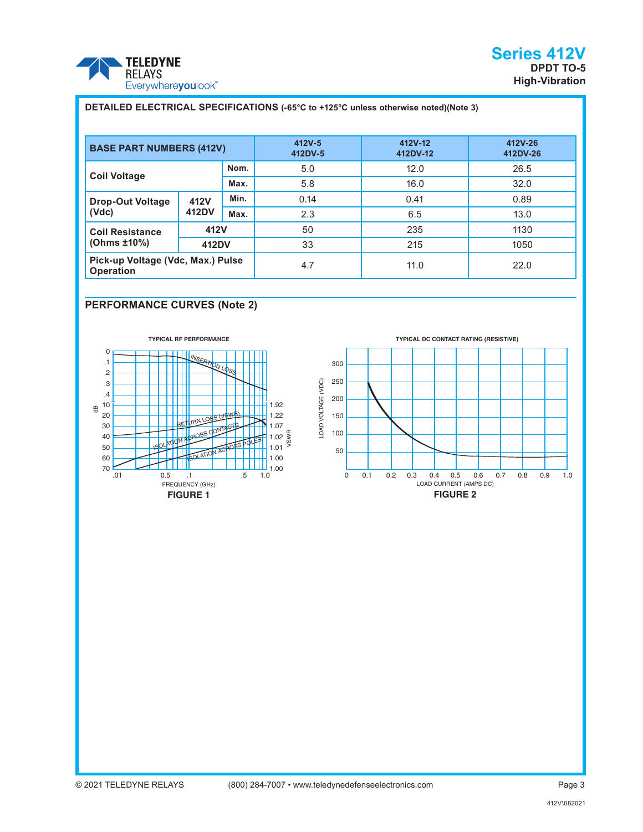

# **BASE PART NUMBERS (412V) 412V-5 412DV-5 412V-12 412DV-12 412V-26 412DV-26 Coil Voltage Nom.** 5.0 12.0 26.5 **Max.** 5.8 16.0 32.0 **Drop-Out Voltage (Vdc) 412V 412DV Min.** 1 0.14 1 0.41 1 0.89 **Max.** 2.3 13.0 **Coil Resistance (Ohms ±10%) 412V** | 50 | 235 | 1130 **412DV** 33 215 2015 33 **Pick-up Voltage (Vdc, Max.) Pulse Operation Contage (Vac., Max.) Figure 14.7** 4.7 11.0 11.0 22.0 **DETAILED ELECTRICAL SPECIFICATIONS (-65°C to +125°C unless otherwise noted)(Note 3)** E (VDC) - A (VDC) - A (VDC) - A (VDC) - A (VDC) - A (VDC) - A (VDC) - A (VDC) - A (VDC) - A (VDC) - A (VDC) - A (VDC) - A (VDC) - A (VDC) - A (VDC) - A (VDC) - A (VDC) - A (VDC) - A (VDC) - A (VDC) - A (VDC) - A (VDC) - A **URICOK**<br> **ESPECIFINATES**<br>
SAMENT MINITED MINITED ATTENTS AND MINITED MINITED MINITED MINITED MINITED MINITED MINITED MINITED MINITED MINITED MINITED MINITED MINITED MINITED MINITED MINITED MINITED MINITED MINITED MINITED E (VDC) INSERT AT A PERSON NEWSTERING CONTROLL AT PERSON NATIONAL BETTURN LOSS NATION ACTION AGREEMENT COLLECTED THE PERSON NATIONAL BETTURN LOSS NATIONAL REPORT

#### **PERFORMANCE CURVES (Note 2)**



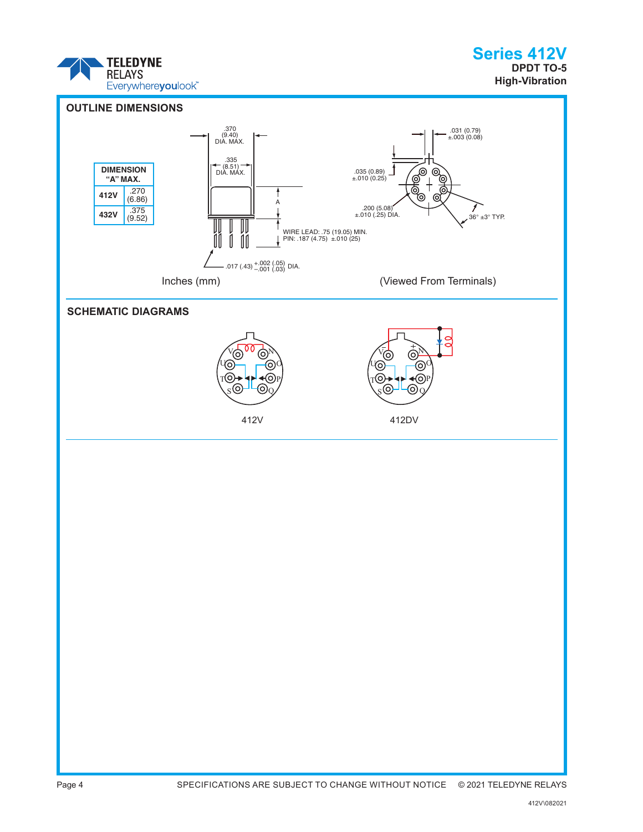

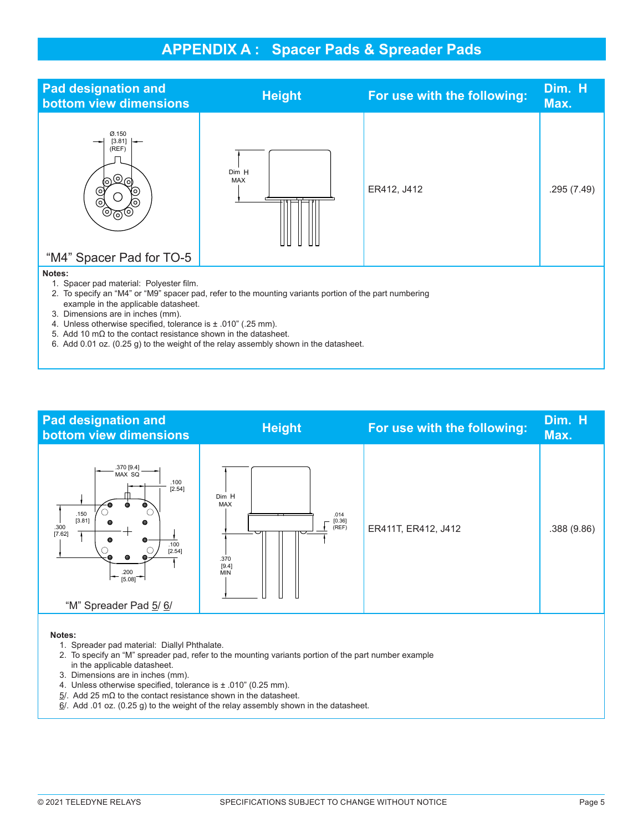# **APPENDIX A : Spacer Pads & Spreader Pads**

| <b>Pad designation and</b><br>bottom view dimensions                                                                                                                                                                                                                                                                                                                                                                                                             | <b>Height</b>       | For use with the following: | Dim. H<br>Max. |  |  |  |
|------------------------------------------------------------------------------------------------------------------------------------------------------------------------------------------------------------------------------------------------------------------------------------------------------------------------------------------------------------------------------------------------------------------------------------------------------------------|---------------------|-----------------------------|----------------|--|--|--|
| Ø.150<br>[3.81]<br>(REF)<br>(၀)<br>(O)<br>(റി<br>O)<br>(o`<br>"M4" Spacer Pad for TO-5                                                                                                                                                                                                                                                                                                                                                                           | Dim H<br><b>MAX</b> | ER412, J412                 | .295 (7.49)    |  |  |  |
| Notes:<br>Spacer pad material: Polyester film.<br>2. To specify an "M4" or "M9" spacer pad, refer to the mounting variants portion of the part numbering<br>example in the applicable datasheet.<br>3. Dimensions are in inches (mm).<br>4. Unless otherwise specified, tolerance is ± .010" (.25 mm).<br>5. Add 10 mΩ to the contact resistance shown in the datasheet.<br>6. Add 0.01 oz. (0.25 g) to the weight of the relay assembly shown in the datasheet. |                     |                             |                |  |  |  |



 $\underline{6}$ /. Add .01 oz. (0.25 g) to the weight of the relay assembly shown in the datasheet.

[3.3]

[3.3]

[3.81]

[3.81]

L